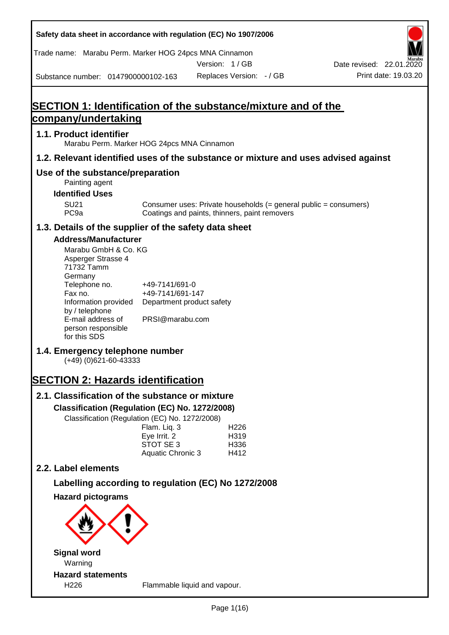| Safety data sheet in accordance with regulation (EC) No 1907/2006                                                                                                                                                                                                                                                                                                                                                                                                                                    |                                                                                                                                                      |                                               |                                          |                                                                  |                                                  |
|------------------------------------------------------------------------------------------------------------------------------------------------------------------------------------------------------------------------------------------------------------------------------------------------------------------------------------------------------------------------------------------------------------------------------------------------------------------------------------------------------|------------------------------------------------------------------------------------------------------------------------------------------------------|-----------------------------------------------|------------------------------------------|------------------------------------------------------------------|--------------------------------------------------|
| Trade name: Marabu Perm. Marker HOG 24pcs MNA Cinnamon                                                                                                                                                                                                                                                                                                                                                                                                                                               |                                                                                                                                                      |                                               |                                          |                                                                  |                                                  |
| Substance number: 0147900000102-163                                                                                                                                                                                                                                                                                                                                                                                                                                                                  |                                                                                                                                                      | Version: 1/GB<br>Replaces Version: - / GB     |                                          |                                                                  | Date revised: 22.01.2020<br>Print date: 19.03.20 |
|                                                                                                                                                                                                                                                                                                                                                                                                                                                                                                      |                                                                                                                                                      |                                               |                                          |                                                                  |                                                  |
| SECTION 1: Identification of the substance/mixture and of the                                                                                                                                                                                                                                                                                                                                                                                                                                        |                                                                                                                                                      |                                               |                                          |                                                                  |                                                  |
| company/undertaking                                                                                                                                                                                                                                                                                                                                                                                                                                                                                  |                                                                                                                                                      |                                               |                                          |                                                                  |                                                  |
| 1.1. Product identifier<br>Marabu Perm. Marker HOG 24pcs MNA Cinnamon                                                                                                                                                                                                                                                                                                                                                                                                                                |                                                                                                                                                      |                                               |                                          |                                                                  |                                                  |
| 1.2. Relevant identified uses of the substance or mixture and uses advised against                                                                                                                                                                                                                                                                                                                                                                                                                   |                                                                                                                                                      |                                               |                                          |                                                                  |                                                  |
| Use of the substance/preparation<br>Painting agent                                                                                                                                                                                                                                                                                                                                                                                                                                                   |                                                                                                                                                      |                                               |                                          |                                                                  |                                                  |
| <b>Identified Uses</b>                                                                                                                                                                                                                                                                                                                                                                                                                                                                               |                                                                                                                                                      |                                               |                                          |                                                                  |                                                  |
| <b>SU21</b><br>PC <sub>9a</sub>                                                                                                                                                                                                                                                                                                                                                                                                                                                                      |                                                                                                                                                      | Coatings and paints, thinners, paint removers |                                          | Consumer uses: Private households (= general public = consumers) |                                                  |
| 1.3. Details of the supplier of the safety data sheet                                                                                                                                                                                                                                                                                                                                                                                                                                                |                                                                                                                                                      |                                               |                                          |                                                                  |                                                  |
| <b>Address/Manufacturer</b><br>Marabu GmbH & Co. KG<br>Asperger Strasse 4<br>71732 Tamm<br>Germany<br>Telephone no.<br>Fax no.<br>Information provided<br>by / telephone<br>E-mail address of<br>person responsible<br>for this SDS<br>1.4. Emergency telephone number<br>$(+49)$ (0)621-60-43333<br><b>SECTION 2: Hazards identification</b><br>2.1. Classification of the substance or mixture<br>Classification (Regulation (EC) No. 1272/2008)<br>Classification (Regulation (EC) No. 1272/2008) | +49-7141/691-0<br>+49-7141/691-147<br>Department product safety<br>PRSI@marabu.com<br>Flam. Liq. 3<br>Eye Irrit. 2<br>STOT SE 3<br>Aquatic Chronic 3 |                                               | H <sub>226</sub><br>H319<br>H336<br>H412 |                                                                  |                                                  |
| 2.2. Label elements                                                                                                                                                                                                                                                                                                                                                                                                                                                                                  |                                                                                                                                                      |                                               |                                          |                                                                  |                                                  |
| Labelling according to regulation (EC) No 1272/2008                                                                                                                                                                                                                                                                                                                                                                                                                                                  |                                                                                                                                                      |                                               |                                          |                                                                  |                                                  |
| <b>Hazard pictograms</b>                                                                                                                                                                                                                                                                                                                                                                                                                                                                             |                                                                                                                                                      |                                               |                                          |                                                                  |                                                  |
|                                                                                                                                                                                                                                                                                                                                                                                                                                                                                                      |                                                                                                                                                      |                                               |                                          |                                                                  |                                                  |
| <b>Signal word</b><br>Warning                                                                                                                                                                                                                                                                                                                                                                                                                                                                        |                                                                                                                                                      |                                               |                                          |                                                                  |                                                  |
| <b>Hazard statements</b><br>H226                                                                                                                                                                                                                                                                                                                                                                                                                                                                     |                                                                                                                                                      | Flammable liquid and vapour.                  |                                          |                                                                  |                                                  |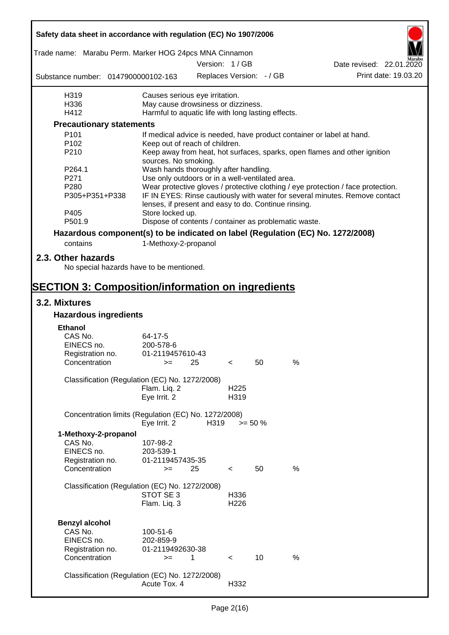| Safety data sheet in accordance with regulation (EC) No 1907/2006               |                                                       |      |                  |                          |      |                                                                                  |                      |
|---------------------------------------------------------------------------------|-------------------------------------------------------|------|------------------|--------------------------|------|----------------------------------------------------------------------------------|----------------------|
| Trade name: Marabu Perm. Marker HOG 24pcs MNA Cinnamon                          |                                                       |      | Version: 1 / GB  |                          |      |                                                                                  |                      |
|                                                                                 |                                                       |      |                  |                          |      | Date revised: 22.01.2020                                                         | Print date: 19.03.20 |
| Substance number: 0147900000102-163                                             |                                                       |      |                  | Replaces Version: - / GB |      |                                                                                  |                      |
| H319                                                                            | Causes serious eye irritation.                        |      |                  |                          |      |                                                                                  |                      |
| H336                                                                            | May cause drowsiness or dizziness.                    |      |                  |                          |      |                                                                                  |                      |
| H412                                                                            | Harmful to aquatic life with long lasting effects.    |      |                  |                          |      |                                                                                  |                      |
| <b>Precautionary statements</b>                                                 |                                                       |      |                  |                          |      |                                                                                  |                      |
| P <sub>101</sub>                                                                |                                                       |      |                  |                          |      | If medical advice is needed, have product container or label at hand.            |                      |
| P <sub>102</sub>                                                                | Keep out of reach of children.                        |      |                  |                          |      |                                                                                  |                      |
| P210                                                                            | sources. No smoking.                                  |      |                  |                          |      | Keep away from heat, hot surfaces, sparks, open flames and other ignition        |                      |
| P264.1                                                                          | Wash hands thoroughly after handling.                 |      |                  |                          |      |                                                                                  |                      |
| P271                                                                            | Use only outdoors or in a well-ventilated area.       |      |                  |                          |      |                                                                                  |                      |
| P <sub>280</sub>                                                                |                                                       |      |                  |                          |      | Wear protective gloves / protective clothing / eye protection / face protection. |                      |
| P305+P351+P338                                                                  | lenses, if present and easy to do. Continue rinsing.  |      |                  |                          |      | IF IN EYES: Rinse cautiously with water for several minutes. Remove contact      |                      |
| P405                                                                            | Store locked up.                                      |      |                  |                          |      |                                                                                  |                      |
| P501.9                                                                          | Dispose of contents / container as problematic waste. |      |                  |                          |      |                                                                                  |                      |
| Hazardous component(s) to be indicated on label (Regulation (EC) No. 1272/2008) |                                                       |      |                  |                          |      |                                                                                  |                      |
| contains                                                                        | 1-Methoxy-2-propanol                                  |      |                  |                          |      |                                                                                  |                      |
|                                                                                 |                                                       |      |                  |                          |      |                                                                                  |                      |
| 2.3. Other hazards                                                              |                                                       |      |                  |                          |      |                                                                                  |                      |
| No special hazards have to be mentioned.                                        |                                                       |      |                  |                          |      |                                                                                  |                      |
|                                                                                 |                                                       |      |                  |                          |      |                                                                                  |                      |
| <b>SECTION 3: Composition/information on ingredients</b>                        |                                                       |      |                  |                          |      |                                                                                  |                      |
| 3.2. Mixtures                                                                   |                                                       |      |                  |                          |      |                                                                                  |                      |
| <b>Hazardous ingredients</b>                                                    |                                                       |      |                  |                          |      |                                                                                  |                      |
| <b>Ethanol</b>                                                                  |                                                       |      |                  |                          |      |                                                                                  |                      |
| CAS No.                                                                         |                                                       |      |                  |                          |      |                                                                                  |                      |
| EINECS no.                                                                      | 64-17-5<br>200-578-6                                  |      |                  |                          |      |                                                                                  |                      |
|                                                                                 | 01-2119457610-43                                      |      |                  |                          |      |                                                                                  |                      |
| Registration no.<br>Concentration                                               | $>=$ 25                                               |      | $\prec$          | 50                       | %    |                                                                                  |                      |
|                                                                                 |                                                       |      |                  |                          |      |                                                                                  |                      |
| Classification (Regulation (EC) No. 1272/2008)                                  |                                                       |      |                  |                          |      |                                                                                  |                      |
|                                                                                 | Flam. Liq. 2                                          |      | H <sub>225</sub> |                          |      |                                                                                  |                      |
|                                                                                 | Eye Irrit. 2                                          |      | H319             |                          |      |                                                                                  |                      |
|                                                                                 |                                                       |      |                  |                          |      |                                                                                  |                      |
| Concentration limits (Regulation (EC) No. 1272/2008)                            | Eye Irrit. 2                                          | H319 |                  | $>= 50 \%$               |      |                                                                                  |                      |
| 1-Methoxy-2-propanol                                                            |                                                       |      |                  |                          |      |                                                                                  |                      |
| CAS No.                                                                         | 107-98-2                                              |      |                  |                          |      |                                                                                  |                      |
| EINECS no.                                                                      | 203-539-1                                             |      |                  |                          |      |                                                                                  |                      |
| Registration no.                                                                | 01-2119457435-35                                      |      |                  |                          |      |                                                                                  |                      |
| Concentration                                                                   | $>=$                                                  | 25   | $\,<\,$          | 50                       | $\%$ |                                                                                  |                      |
|                                                                                 |                                                       |      |                  |                          |      |                                                                                  |                      |
| Classification (Regulation (EC) No. 1272/2008)                                  |                                                       |      |                  |                          |      |                                                                                  |                      |
|                                                                                 | STOT SE 3                                             |      | H336             |                          |      |                                                                                  |                      |
|                                                                                 | Flam. Liq. 3                                          |      | H226             |                          |      |                                                                                  |                      |
|                                                                                 |                                                       |      |                  |                          |      |                                                                                  |                      |
| <b>Benzyl alcohol</b>                                                           |                                                       |      |                  |                          |      |                                                                                  |                      |
| CAS No.                                                                         | 100-51-6                                              |      |                  |                          |      |                                                                                  |                      |
| EINECS no.                                                                      | 202-859-9                                             |      |                  |                          |      |                                                                                  |                      |
| Registration no.                                                                | 01-2119492630-38                                      |      |                  |                          |      |                                                                                  |                      |
| Concentration                                                                   | $>=$                                                  | 1    | $\prec$          | 10 <sup>1</sup>          | %    |                                                                                  |                      |
|                                                                                 |                                                       |      |                  |                          |      |                                                                                  |                      |
| Classification (Regulation (EC) No. 1272/2008)                                  |                                                       |      |                  |                          |      |                                                                                  |                      |
|                                                                                 | Acute Tox. 4                                          |      | H332             |                          |      |                                                                                  |                      |
|                                                                                 |                                                       |      |                  |                          |      |                                                                                  |                      |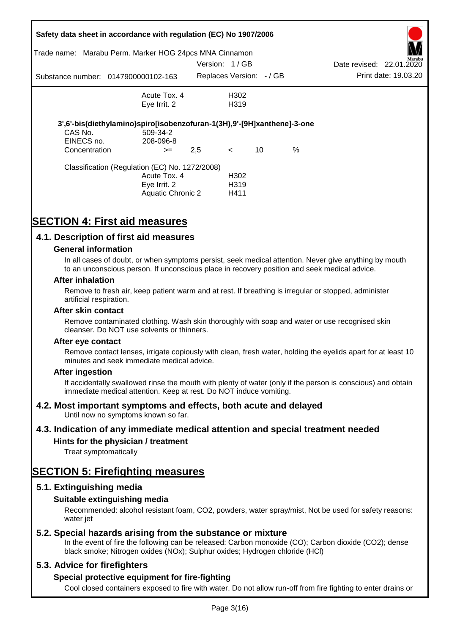|                                                                            | Safety data sheet in accordance with regulation (EC) No 1907/2006       |     |                         |    |   |                          |                      |
|----------------------------------------------------------------------------|-------------------------------------------------------------------------|-----|-------------------------|----|---|--------------------------|----------------------|
| Marabu Perm. Marker HOG 24pcs MNA Cinnamon<br>Trade name:<br>Version: 1/GB |                                                                         |     |                         |    |   |                          | Marabu               |
|                                                                            |                                                                         |     |                         |    |   | Date revised: 22.01.2020 |                      |
|                                                                            | Substance number: 0147900000102-163                                     |     | Replaces Version: -/ GB |    |   |                          | Print date: 19.03.20 |
|                                                                            | Acute Tox, 4                                                            |     | H302                    |    |   |                          |                      |
|                                                                            | Eye Irrit. 2                                                            |     | H <sub>3</sub> 19       |    |   |                          |                      |
|                                                                            | 3',6'-bis(diethylamino)spiro[isobenzofuran-1(3H),9'-[9H]xanthene]-3-one |     |                         |    |   |                          |                      |
| CAS No.                                                                    | 509-34-2                                                                |     |                         |    |   |                          |                      |
| EINECS no.                                                                 | 208-096-8                                                               |     |                         |    |   |                          |                      |
| Concentration                                                              | $>=$                                                                    | 2,5 | $\leq$                  | 10 | % |                          |                      |
|                                                                            | Classification (Regulation (EC) No. 1272/2008)                          |     |                         |    |   |                          |                      |
|                                                                            | Acute Tox. 4                                                            |     | H <sub>302</sub>        |    |   |                          |                      |
|                                                                            | Eye Irrit. 2                                                            |     | H319                    |    |   |                          |                      |
|                                                                            | Aquatic Chronic 2                                                       |     | H411                    |    |   |                          |                      |

# **SECTION 4: First aid measures**

## **4.1. Description of first aid measures**

### **General information**

In all cases of doubt, or when symptoms persist, seek medical attention. Never give anything by mouth to an unconscious person. If unconscious place in recovery position and seek medical advice.

#### **After inhalation**

Remove to fresh air, keep patient warm and at rest. If breathing is irregular or stopped, administer artificial respiration.

#### **After skin contact**

Remove contaminated clothing. Wash skin thoroughly with soap and water or use recognised skin cleanser. Do NOT use solvents or thinners.

#### **After eye contact**

Remove contact lenses, irrigate copiously with clean, fresh water, holding the eyelids apart for at least 10 minutes and seek immediate medical advice.

#### **After ingestion**

If accidentally swallowed rinse the mouth with plenty of water (only if the person is conscious) and obtain immediate medical attention. Keep at rest. Do NOT induce vomiting.

## **4.2. Most important symptoms and effects, both acute and delayed**

Until now no symptoms known so far.

## **4.3. Indication of any immediate medical attention and special treatment needed**

## **Hints for the physician / treatment**

Treat symptomatically

# **SECTION 5: Firefighting measures**

## **5.1. Extinguishing media**

## **Suitable extinguishing media**

Recommended: alcohol resistant foam, CO2, powders, water spray/mist, Not be used for safety reasons: water *iet* 

## **5.2. Special hazards arising from the substance or mixture**

In the event of fire the following can be released: Carbon monoxide (CO); Carbon dioxide (CO2); dense black smoke; Nitrogen oxides (NOx); Sulphur oxides; Hydrogen chloride (HCl)

## **5.3. Advice for firefighters**

## **Special protective equipment for fire-fighting**

Cool closed containers exposed to fire with water. Do not allow run-off from fire fighting to enter drains or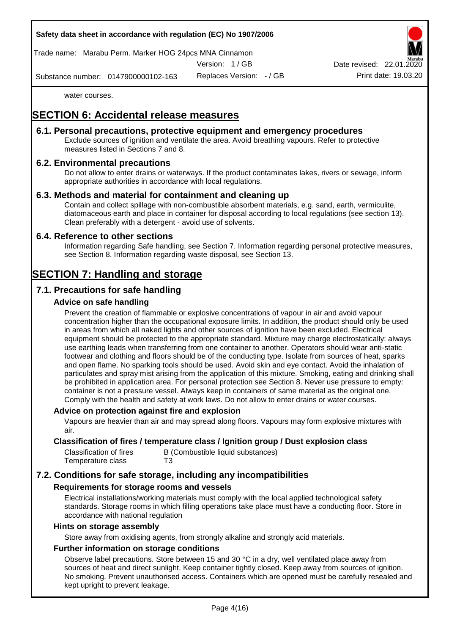

Trade name: Marabu Perm. Marker HOG 24pcs MNA Cinnamon

Version: 1 / GB

Replaces Version: - / GB Print date: 19.03.20 Date revised: 22.01.

Substance number: 0147900000102-163

water courses.

# **SECTION 6: Accidental release measures**

## **6.1. Personal precautions, protective equipment and emergency procedures**

Exclude sources of ignition and ventilate the area. Avoid breathing vapours. Refer to protective measures listed in Sections 7 and 8.

## **6.2. Environmental precautions**

Do not allow to enter drains or waterways. If the product contaminates lakes, rivers or sewage, inform appropriate authorities in accordance with local regulations.

## **6.3. Methods and material for containment and cleaning up**

Contain and collect spillage with non-combustible absorbent materials, e.g. sand, earth, vermiculite, diatomaceous earth and place in container for disposal according to local regulations (see section 13). Clean preferably with a detergent - avoid use of solvents.

## **6.4. Reference to other sections**

Information regarding Safe handling, see Section 7. Information regarding personal protective measures, see Section 8. Information regarding waste disposal, see Section 13.

# **SECTION 7: Handling and storage**

## **7.1. Precautions for safe handling**

## **Advice on safe handling**

Prevent the creation of flammable or explosive concentrations of vapour in air and avoid vapour concentration higher than the occupational exposure limits. In addition, the product should only be used in areas from which all naked lights and other sources of ignition have been excluded. Electrical equipment should be protected to the appropriate standard. Mixture may charge electrostatically: always use earthing leads when transferring from one container to another. Operators should wear anti-static footwear and clothing and floors should be of the conducting type. Isolate from sources of heat, sparks and open flame. No sparking tools should be used. Avoid skin and eye contact. Avoid the inhalation of particulates and spray mist arising from the application of this mixture. Smoking, eating and drinking shall be prohibited in application area. For personal protection see Section 8. Never use pressure to empty: container is not a pressure vessel. Always keep in containers of same material as the original one. Comply with the health and safety at work laws. Do not allow to enter drains or water courses.

## **Advice on protection against fire and explosion**

Vapours are heavier than air and may spread along floors. Vapours may form explosive mixtures with air.

### **Classification of fires / temperature class / Ignition group / Dust explosion class**

| Classification of fires | B (Combustible liquid substances) |
|-------------------------|-----------------------------------|
| Temperature class       | T3                                |

## **7.2. Conditions for safe storage, including any incompatibilities**

## **Requirements for storage rooms and vessels**

Electrical installations/working materials must comply with the local applied technological safety standards. Storage rooms in which filling operations take place must have a conducting floor. Store in accordance with national regulation

#### **Hints on storage assembly**

Store away from oxidising agents, from strongly alkaline and strongly acid materials.

## **Further information on storage conditions**

Observe label precautions. Store between 15 and 30 °C in a dry, well ventilated place away from sources of heat and direct sunlight. Keep container tightly closed. Keep away from sources of ignition. No smoking. Prevent unauthorised access. Containers which are opened must be carefully resealed and kept upright to prevent leakage.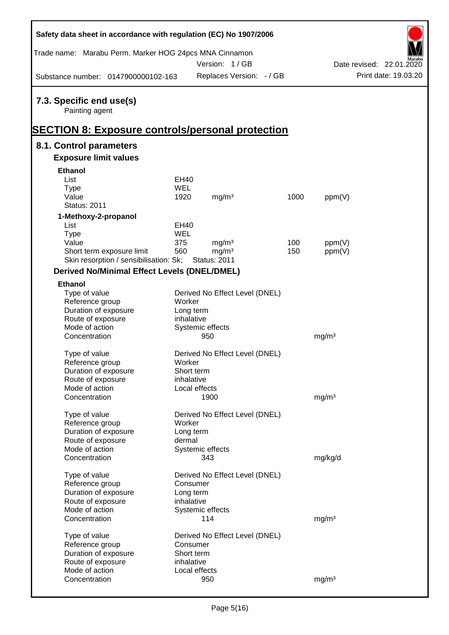| Safety data sheet in accordance with regulation (EC) No 1907/2006                  |                        |                                |      |                   |                          |
|------------------------------------------------------------------------------------|------------------------|--------------------------------|------|-------------------|--------------------------|
| Trade name: Marabu Perm. Marker HOG 24pcs MNA Cinnamon                             |                        | Version: 1/GB                  |      |                   | Date revised: 22.01.2020 |
| Substance number: 0147900000102-163                                                |                        | Replaces Version: - / GB       |      |                   | Print date: 19.03.20     |
| 7.3. Specific end use(s)<br>Painting agent                                         |                        |                                |      |                   |                          |
| <b>SECTION 8: Exposure controls/personal protection</b><br>8.1. Control parameters |                        |                                |      |                   |                          |
| <b>Exposure limit values</b>                                                       |                        |                                |      |                   |                          |
| <b>Ethanol</b>                                                                     |                        |                                |      |                   |                          |
| List                                                                               | EH40                   |                                |      |                   |                          |
| <b>Type</b>                                                                        | <b>WEL</b>             |                                |      |                   |                          |
| Value                                                                              | 1920                   | mg/m <sup>3</sup>              | 1000 | ppm(V)            |                          |
| <b>Status: 2011</b>                                                                |                        |                                |      |                   |                          |
| 1-Methoxy-2-propanol                                                               |                        |                                |      |                   |                          |
| List                                                                               | EH40                   |                                |      |                   |                          |
| <b>Type</b>                                                                        | WEL                    |                                |      |                   |                          |
| Value                                                                              | 375                    | mg/m <sup>3</sup>              | 100  | ppm(V)            |                          |
| Short term exposure limit                                                          | 560                    | mg/m <sup>3</sup>              | 150  | ppm(V)            |                          |
| Skin resorption / sensibilisation: Sk;                                             |                        | <b>Status: 2011</b>            |      |                   |                          |
| <b>Derived No/Minimal Effect Levels (DNEL/DMEL)</b>                                |                        |                                |      |                   |                          |
| <b>Ethanol</b>                                                                     |                        |                                |      |                   |                          |
| Type of value                                                                      |                        | Derived No Effect Level (DNEL) |      |                   |                          |
| Reference group                                                                    | Worker                 |                                |      |                   |                          |
| Duration of exposure                                                               | Long term              |                                |      |                   |                          |
| Route of exposure                                                                  | inhalative             |                                |      |                   |                          |
| Mode of action                                                                     |                        | Systemic effects               |      |                   |                          |
| Concentration                                                                      |                        | 950                            |      | mg/m <sup>3</sup> |                          |
| Type of value                                                                      |                        | Derived No Effect Level (DNEL) |      |                   |                          |
| Reference group                                                                    | Worker                 |                                |      |                   |                          |
| Duration of exposure                                                               | Short term             |                                |      |                   |                          |
| Route of exposure                                                                  | inhalative             |                                |      |                   |                          |
| Mode of action                                                                     |                        | Local effects                  |      |                   |                          |
| Concentration                                                                      |                        | 1900                           |      | mg/m <sup>3</sup> |                          |
|                                                                                    |                        |                                |      |                   |                          |
| Type of value                                                                      |                        | Derived No Effect Level (DNEL) |      |                   |                          |
| Reference group                                                                    | Worker                 |                                |      |                   |                          |
| Duration of exposure                                                               | Long term              |                                |      |                   |                          |
| Route of exposure                                                                  | dermal                 |                                |      |                   |                          |
| Mode of action                                                                     |                        | Systemic effects               |      |                   |                          |
| Concentration                                                                      |                        | 343                            |      | mg/kg/d           |                          |
| Type of value                                                                      |                        | Derived No Effect Level (DNEL) |      |                   |                          |
| Reference group                                                                    | Consumer               |                                |      |                   |                          |
| Duration of exposure                                                               | Long term              |                                |      |                   |                          |
| Route of exposure                                                                  | inhalative             |                                |      |                   |                          |
| Mode of action                                                                     |                        | Systemic effects               |      |                   |                          |
| Concentration                                                                      |                        | 114                            |      | mg/m <sup>3</sup> |                          |
|                                                                                    |                        |                                |      |                   |                          |
| Type of value                                                                      |                        | Derived No Effect Level (DNEL) |      |                   |                          |
| Reference group                                                                    | Consumer<br>Short term |                                |      |                   |                          |
| Duration of exposure<br>Route of exposure                                          | inhalative             |                                |      |                   |                          |
| Mode of action                                                                     |                        | Local effects                  |      |                   |                          |
| Concentration                                                                      |                        | 950                            |      | mg/m <sup>3</sup> |                          |
|                                                                                    |                        |                                |      |                   |                          |

Г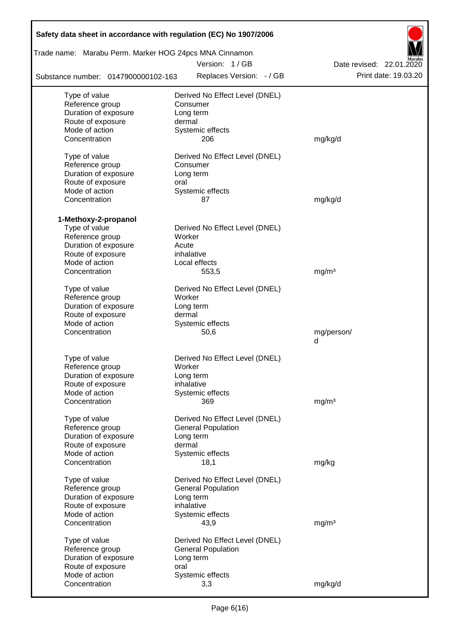| Safety data sheet in accordance with regulation (EC) No 1907/2006 |                                |                          |
|-------------------------------------------------------------------|--------------------------------|--------------------------|
| Trade name: Marabu Perm. Marker HOG 24pcs MNA Cinnamon            | Version: 1/GB                  | Date revised: 22.01.2020 |
| Substance number: 0147900000102-163                               | Replaces Version: - / GB       | Print date: 19.03.20     |
| Type of value                                                     | Derived No Effect Level (DNEL) |                          |
| Reference group                                                   | Consumer                       |                          |
| Duration of exposure                                              | Long term                      |                          |
| Route of exposure                                                 | dermal                         |                          |
| Mode of action                                                    | Systemic effects               |                          |
| Concentration                                                     | 206                            | mg/kg/d                  |
| Type of value                                                     | Derived No Effect Level (DNEL) |                          |
| Reference group                                                   | Consumer                       |                          |
| Duration of exposure                                              | Long term                      |                          |
| Route of exposure                                                 | oral                           |                          |
| Mode of action                                                    | Systemic effects               |                          |
| Concentration                                                     | 87                             | mg/kg/d                  |
| 1-Methoxy-2-propanol                                              |                                |                          |
| Type of value                                                     | Derived No Effect Level (DNEL) |                          |
| Reference group                                                   | Worker                         |                          |
| Duration of exposure                                              | Acute                          |                          |
| Route of exposure                                                 | inhalative                     |                          |
| Mode of action                                                    | Local effects                  |                          |
| Concentration                                                     | 553,5                          | mg/m <sup>3</sup>        |
| Type of value                                                     | Derived No Effect Level (DNEL) |                          |
| Reference group                                                   | Worker                         |                          |
| Duration of exposure                                              | Long term                      |                          |
| Route of exposure                                                 | dermal                         |                          |
| Mode of action                                                    | Systemic effects               |                          |
| Concentration                                                     | 50,6                           | mg/person/               |
|                                                                   |                                | d                        |
| Type of value                                                     | Derived No Effect Level (DNEL) |                          |
| Reference group                                                   | Worker                         |                          |
| Duration of exposure                                              | Long term                      |                          |
| Route of exposure                                                 | inhalative                     |                          |
| Mode of action                                                    | Systemic effects               |                          |
| Concentration                                                     | 369                            | mg/m <sup>3</sup>        |
| Type of value                                                     | Derived No Effect Level (DNEL) |                          |
| Reference group                                                   | <b>General Population</b>      |                          |
| Duration of exposure                                              | Long term                      |                          |
| Route of exposure                                                 | dermal                         |                          |
| Mode of action                                                    | Systemic effects               |                          |
| Concentration                                                     | 18,1                           | mg/kg                    |
| Type of value                                                     | Derived No Effect Level (DNEL) |                          |
| Reference group                                                   | <b>General Population</b>      |                          |
| Duration of exposure                                              | Long term                      |                          |
| Route of exposure                                                 | inhalative                     |                          |
| Mode of action                                                    | Systemic effects               |                          |
| Concentration                                                     | 43,9                           | mg/m <sup>3</sup>        |
| Type of value                                                     | Derived No Effect Level (DNEL) |                          |
| Reference group                                                   | <b>General Population</b>      |                          |
| Duration of exposure                                              | Long term                      |                          |
| Route of exposure                                                 | oral                           |                          |
| Mode of action                                                    | Systemic effects               |                          |
| Concentration                                                     | 3,3                            | mg/kg/d                  |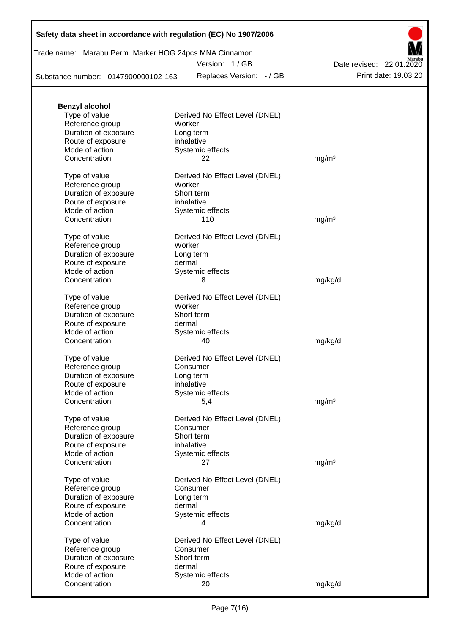| Trade name: Marabu Perm. Marker HOG 24pcs MNA Cinnamon |
|--------------------------------------------------------|
|--------------------------------------------------------|

Version: 1 / GB

Substance number: 0147900000102-163

Replaces Version: - / GB Print date: 19.03.20 Date revised: 22.01.2020

| <b>Benzyl alcohol</b> |                                |                   |
|-----------------------|--------------------------------|-------------------|
| Type of value         | Derived No Effect Level (DNEL) |                   |
| Reference group       | Worker                         |                   |
| Duration of exposure  | Long term                      |                   |
| Route of exposure     | inhalative                     |                   |
| Mode of action        | Systemic effects               |                   |
| Concentration         | 22                             | mg/m <sup>3</sup> |
| Type of value         | Derived No Effect Level (DNEL) |                   |
| Reference group       | Worker                         |                   |
| Duration of exposure  | Short term                     |                   |
| Route of exposure     | inhalative                     |                   |
| Mode of action        | Systemic effects               |                   |
| Concentration         | 110                            | mg/m <sup>3</sup> |
| Type of value         | Derived No Effect Level (DNEL) |                   |
| Reference group       | Worker                         |                   |
| Duration of exposure  | Long term                      |                   |
| Route of exposure     | dermal                         |                   |
| Mode of action        | Systemic effects               |                   |
| Concentration         | 8                              | mg/kg/d           |
|                       |                                |                   |
| Type of value         | Derived No Effect Level (DNEL) |                   |
| Reference group       | Worker                         |                   |
| Duration of exposure  | Short term                     |                   |
| Route of exposure     | dermal                         |                   |
| Mode of action        | Systemic effects               |                   |
| Concentration         | 40                             | mg/kg/d           |
| Type of value         | Derived No Effect Level (DNEL) |                   |
| Reference group       | Consumer                       |                   |
| Duration of exposure  | Long term                      |                   |
| Route of exposure     | inhalative                     |                   |
| Mode of action        | Systemic effects               |                   |
| Concentration         | 5,4                            | mg/m <sup>3</sup> |
| Type of value         | Derived No Effect Level (DNEL) |                   |
| Reference group       | Consumer                       |                   |
| Duration of exposure  | Short term                     |                   |
| Route of exposure     | inhalative                     |                   |
| Mode of action        | Systemic effects               |                   |
| Concentration         | 27                             | mg/m <sup>3</sup> |
| Type of value         | Derived No Effect Level (DNEL) |                   |
| Reference group       | Consumer                       |                   |
| Duration of exposure  | Long term                      |                   |
| Route of exposure     | dermal                         |                   |
| Mode of action        | Systemic effects               |                   |
| Concentration         |                                |                   |
|                       | 4                              | mg/kg/d           |
| Type of value         | Derived No Effect Level (DNEL) |                   |
| Reference group       | Consumer                       |                   |
| Duration of exposure  | Short term                     |                   |
| Route of exposure     | dermal                         |                   |
| Mode of action        | Systemic effects               |                   |
| Concentration         | 20                             | mg/kg/d           |
|                       |                                |                   |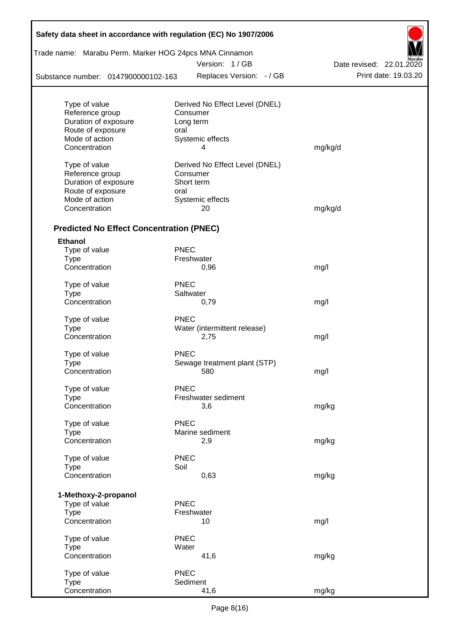| Safety data sheet in accordance with regulation (EC) No 1907/2006 |             |                                |                          |  |  |  |  |  |
|-------------------------------------------------------------------|-------------|--------------------------------|--------------------------|--|--|--|--|--|
| Trade name: Marabu Perm. Marker HOG 24pcs MNA Cinnamon            |             | Version: 1/GB                  | Date revised: 22.01.2020 |  |  |  |  |  |
| Substance number: 0147900000102-163                               |             | Replaces Version: - / GB       | Print date: 19.03.20     |  |  |  |  |  |
|                                                                   |             |                                |                          |  |  |  |  |  |
| Type of value                                                     |             | Derived No Effect Level (DNEL) |                          |  |  |  |  |  |
| Reference group                                                   |             | Consumer                       |                          |  |  |  |  |  |
| Duration of exposure                                              |             | Long term                      |                          |  |  |  |  |  |
| Route of exposure                                                 | oral        |                                |                          |  |  |  |  |  |
| Mode of action                                                    |             | Systemic effects<br>4          |                          |  |  |  |  |  |
| Concentration                                                     |             |                                | mg/kg/d                  |  |  |  |  |  |
| Type of value                                                     |             | Derived No Effect Level (DNEL) |                          |  |  |  |  |  |
| Reference group                                                   |             | Consumer                       |                          |  |  |  |  |  |
| Duration of exposure                                              |             | Short term                     |                          |  |  |  |  |  |
| Route of exposure                                                 | oral        |                                |                          |  |  |  |  |  |
| Mode of action                                                    |             | Systemic effects               |                          |  |  |  |  |  |
| Concentration                                                     |             | 20                             | mg/kg/d                  |  |  |  |  |  |
| <b>Predicted No Effect Concentration (PNEC)</b>                   |             |                                |                          |  |  |  |  |  |
| <b>Ethanol</b>                                                    |             |                                |                          |  |  |  |  |  |
| Type of value                                                     | <b>PNEC</b> |                                |                          |  |  |  |  |  |
| <b>Type</b>                                                       |             | Freshwater                     |                          |  |  |  |  |  |
| Concentration                                                     |             | 0,96                           | mg/l                     |  |  |  |  |  |
| Type of value                                                     | <b>PNEC</b> |                                |                          |  |  |  |  |  |
| <b>Type</b>                                                       |             | Saltwater                      |                          |  |  |  |  |  |
| Concentration                                                     |             | 0,79                           | mg/l                     |  |  |  |  |  |
| Type of value                                                     | <b>PNEC</b> |                                |                          |  |  |  |  |  |
| <b>Type</b>                                                       |             | Water (intermittent release)   |                          |  |  |  |  |  |
| Concentration                                                     |             | 2,75                           | mg/l                     |  |  |  |  |  |
| Type of value                                                     | <b>PNEC</b> |                                |                          |  |  |  |  |  |
| <b>Type</b>                                                       |             | Sewage treatment plant (STP)   |                          |  |  |  |  |  |
| Concentration                                                     |             | 580                            | mg/l                     |  |  |  |  |  |
| Type of value                                                     | <b>PNEC</b> |                                |                          |  |  |  |  |  |
| <b>Type</b>                                                       |             | Freshwater sediment            |                          |  |  |  |  |  |
| Concentration                                                     |             | 3,6                            | mg/kg                    |  |  |  |  |  |
|                                                                   |             |                                |                          |  |  |  |  |  |
| Type of value                                                     | <b>PNEC</b> |                                |                          |  |  |  |  |  |
| <b>Type</b>                                                       |             | Marine sediment                |                          |  |  |  |  |  |
| Concentration                                                     |             | 2,9                            | mg/kg                    |  |  |  |  |  |
| Type of value                                                     | <b>PNEC</b> |                                |                          |  |  |  |  |  |
| <b>Type</b>                                                       | Soil        |                                |                          |  |  |  |  |  |
| Concentration                                                     |             | 0,63                           | mg/kg                    |  |  |  |  |  |
| 1-Methoxy-2-propanol                                              |             |                                |                          |  |  |  |  |  |
| Type of value                                                     | <b>PNEC</b> |                                |                          |  |  |  |  |  |
| <b>Type</b>                                                       |             | Freshwater                     |                          |  |  |  |  |  |
| Concentration                                                     |             | 10                             | mg/l                     |  |  |  |  |  |
| Type of value                                                     | <b>PNEC</b> |                                |                          |  |  |  |  |  |
| <b>Type</b>                                                       | Water       |                                |                          |  |  |  |  |  |
| Concentration                                                     |             | 41,6                           | mg/kg                    |  |  |  |  |  |
| Type of value                                                     | <b>PNEC</b> |                                |                          |  |  |  |  |  |
| <b>Type</b>                                                       |             | Sediment                       |                          |  |  |  |  |  |
| Concentration                                                     |             | 41,6                           | mg/kg                    |  |  |  |  |  |

T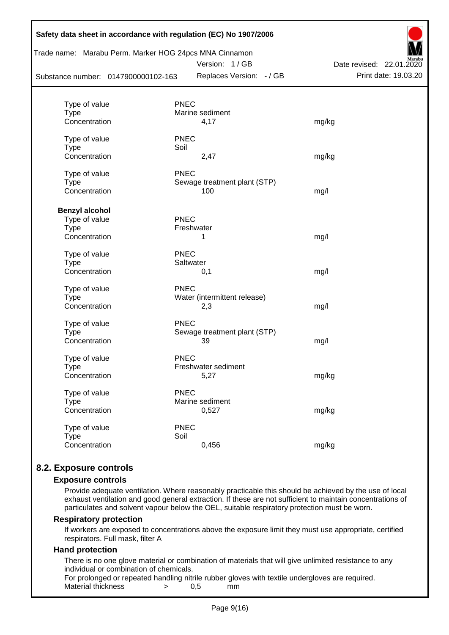|                                     |             | Trade name: Marabu Perm. Marker HOG 24pcs MNA Cinnamon<br>Version: 1/GB | Date revised: 22.01.2020 |
|-------------------------------------|-------------|-------------------------------------------------------------------------|--------------------------|
| Substance number: 0147900000102-163 |             | Replaces Version: - / GB                                                | Print date: 19.03.20     |
| Type of value                       | <b>PNEC</b> |                                                                         |                          |
| <b>Type</b>                         |             | Marine sediment                                                         |                          |
| Concentration                       |             | 4,17                                                                    | mg/kg                    |
| Type of value                       | <b>PNEC</b> |                                                                         |                          |
| <b>Type</b>                         | Soil        |                                                                         |                          |
| Concentration                       |             | 2,47                                                                    | mg/kg                    |
| Type of value                       | <b>PNEC</b> |                                                                         |                          |
| <b>Type</b>                         |             | Sewage treatment plant (STP)                                            |                          |
| Concentration                       |             | 100                                                                     | mg/l                     |
| <b>Benzyl alcohol</b>               |             |                                                                         |                          |
| Type of value                       | <b>PNEC</b> |                                                                         |                          |
| <b>Type</b>                         |             | Freshwater                                                              |                          |
| Concentration                       |             | 1                                                                       | mg/l                     |
| Type of value                       | <b>PNEC</b> |                                                                         |                          |
| <b>Type</b>                         | Saltwater   |                                                                         |                          |
| Concentration                       |             | 0,1                                                                     | mg/l                     |
| Type of value                       | <b>PNEC</b> |                                                                         |                          |
| <b>Type</b>                         |             | Water (intermittent release)                                            |                          |
| Concentration                       |             | 2,3                                                                     | mg/l                     |
| Type of value                       | <b>PNEC</b> |                                                                         |                          |
| <b>Type</b>                         |             | Sewage treatment plant (STP)                                            |                          |
| Concentration                       |             | 39                                                                      | mg/l                     |
| Type of value                       | <b>PNEC</b> |                                                                         |                          |
| Type                                |             | Freshwater sediment                                                     |                          |
| Concentration                       |             | 5,27                                                                    | mg/kg                    |
| Type of value                       | <b>PNEC</b> |                                                                         |                          |
| <b>Type</b>                         |             | Marine sediment                                                         |                          |
| Concentration                       |             | 0,527                                                                   | mg/kg                    |
| Type of value                       | <b>PNEC</b> |                                                                         |                          |
| <b>Type</b>                         | Soil        |                                                                         |                          |
| Concentration                       |             | 0,456                                                                   | mg/kg                    |

## **8.2. Exposure controls**

#### **Exposure controls**

Provide adequate ventilation. Where reasonably practicable this should be achieved by the use of local exhaust ventilation and good general extraction. If these are not sufficient to maintain concentrations of particulates and solvent vapour below the OEL, suitable respiratory protection must be worn.

#### **Respiratory protection**

If workers are exposed to concentrations above the exposure limit they must use appropriate, certified respirators. Full mask, filter A

### **Hand protection**

There is no one glove material or combination of materials that will give unlimited resistance to any individual or combination of chemicals.

For prolonged or repeated handling nitrile rubber gloves with textile undergloves are required. Material thickness  $\rightarrow$  0.5 mm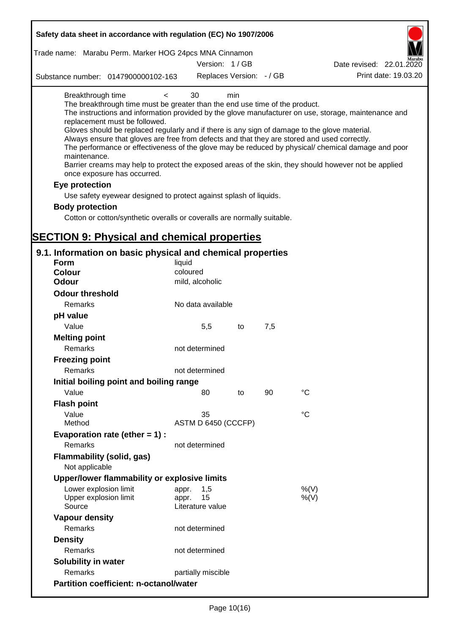| Safety data sheet in accordance with regulation (EC) No 1907/2006                                                                                                                                                                                                                                                                                                                          |                                 |     |     |                                                                                                                                                                                                                                                                                                                    |
|--------------------------------------------------------------------------------------------------------------------------------------------------------------------------------------------------------------------------------------------------------------------------------------------------------------------------------------------------------------------------------------------|---------------------------------|-----|-----|--------------------------------------------------------------------------------------------------------------------------------------------------------------------------------------------------------------------------------------------------------------------------------------------------------------------|
| Trade name: Marabu Perm. Marker HOG 24pcs MNA Cinnamon                                                                                                                                                                                                                                                                                                                                     |                                 |     |     |                                                                                                                                                                                                                                                                                                                    |
|                                                                                                                                                                                                                                                                                                                                                                                            | Version: 1/GB                   |     |     | Date revised: 22.01.2020                                                                                                                                                                                                                                                                                           |
| Substance number: 0147900000102-163                                                                                                                                                                                                                                                                                                                                                        | Replaces Version: - / GB        |     |     | Print date: 19.03.20                                                                                                                                                                                                                                                                                               |
| Breakthrough time<br>$\,<$<br>The breakthrough time must be greater than the end use time of the product.<br>replacement must be followed.<br>Gloves should be replaced regularly and if there is any sign of damage to the glove material.<br>Always ensure that gloves are free from defects and that they are stored and used correctly.<br>maintenance.<br>once exposure has occurred. | 30                              | min |     | The instructions and information provided by the glove manufacturer on use, storage, maintenance and<br>The performance or effectiveness of the glove may be reduced by physical/ chemical damage and poor<br>Barrier creams may help to protect the exposed areas of the skin, they should however not be applied |
| Eye protection                                                                                                                                                                                                                                                                                                                                                                             |                                 |     |     |                                                                                                                                                                                                                                                                                                                    |
| Use safety eyewear designed to protect against splash of liquids.                                                                                                                                                                                                                                                                                                                          |                                 |     |     |                                                                                                                                                                                                                                                                                                                    |
| <b>Body protection</b>                                                                                                                                                                                                                                                                                                                                                                     |                                 |     |     |                                                                                                                                                                                                                                                                                                                    |
| Cotton or cotton/synthetic overalls or coveralls are normally suitable.                                                                                                                                                                                                                                                                                                                    |                                 |     |     |                                                                                                                                                                                                                                                                                                                    |
|                                                                                                                                                                                                                                                                                                                                                                                            |                                 |     |     |                                                                                                                                                                                                                                                                                                                    |
| <b>SECTION 9: Physical and chemical properties</b>                                                                                                                                                                                                                                                                                                                                         |                                 |     |     |                                                                                                                                                                                                                                                                                                                    |
| 9.1. Information on basic physical and chemical properties                                                                                                                                                                                                                                                                                                                                 |                                 |     |     |                                                                                                                                                                                                                                                                                                                    |
| <b>Form</b>                                                                                                                                                                                                                                                                                                                                                                                | liquid                          |     |     |                                                                                                                                                                                                                                                                                                                    |
| <b>Colour</b>                                                                                                                                                                                                                                                                                                                                                                              | coloured                        |     |     |                                                                                                                                                                                                                                                                                                                    |
| <b>Odour</b>                                                                                                                                                                                                                                                                                                                                                                               | mild, alcoholic                 |     |     |                                                                                                                                                                                                                                                                                                                    |
| <b>Odour threshold</b>                                                                                                                                                                                                                                                                                                                                                                     |                                 |     |     |                                                                                                                                                                                                                                                                                                                    |
| Remarks                                                                                                                                                                                                                                                                                                                                                                                    | No data available               |     |     |                                                                                                                                                                                                                                                                                                                    |
| pH value                                                                                                                                                                                                                                                                                                                                                                                   |                                 |     |     |                                                                                                                                                                                                                                                                                                                    |
| Value                                                                                                                                                                                                                                                                                                                                                                                      | 5,5                             | to  | 7,5 |                                                                                                                                                                                                                                                                                                                    |
| <b>Melting point</b>                                                                                                                                                                                                                                                                                                                                                                       |                                 |     |     |                                                                                                                                                                                                                                                                                                                    |
| Remarks                                                                                                                                                                                                                                                                                                                                                                                    | not determined                  |     |     |                                                                                                                                                                                                                                                                                                                    |
| <b>Freezing point</b>                                                                                                                                                                                                                                                                                                                                                                      |                                 |     |     |                                                                                                                                                                                                                                                                                                                    |
| Remarks                                                                                                                                                                                                                                                                                                                                                                                    | not determined                  |     |     |                                                                                                                                                                                                                                                                                                                    |
| Initial boiling point and boiling range                                                                                                                                                                                                                                                                                                                                                    |                                 |     |     |                                                                                                                                                                                                                                                                                                                    |
| Value                                                                                                                                                                                                                                                                                                                                                                                      | 80                              | to  | 90  | $\rm ^{\circ}C$                                                                                                                                                                                                                                                                                                    |
| <b>Flash point</b>                                                                                                                                                                                                                                                                                                                                                                         |                                 |     |     |                                                                                                                                                                                                                                                                                                                    |
| Value<br>Method                                                                                                                                                                                                                                                                                                                                                                            | 35<br>ASTM D 6450 (CCCFP)       |     |     | $^{\circ}C$                                                                                                                                                                                                                                                                                                        |
|                                                                                                                                                                                                                                                                                                                                                                                            |                                 |     |     |                                                                                                                                                                                                                                                                                                                    |
| Evaporation rate (ether $= 1$ ) :<br>Remarks                                                                                                                                                                                                                                                                                                                                               | not determined                  |     |     |                                                                                                                                                                                                                                                                                                                    |
| <b>Flammability (solid, gas)</b>                                                                                                                                                                                                                                                                                                                                                           |                                 |     |     |                                                                                                                                                                                                                                                                                                                    |
| Not applicable                                                                                                                                                                                                                                                                                                                                                                             |                                 |     |     |                                                                                                                                                                                                                                                                                                                    |
| Upper/lower flammability or explosive limits                                                                                                                                                                                                                                                                                                                                               |                                 |     |     |                                                                                                                                                                                                                                                                                                                    |
| Lower explosion limit                                                                                                                                                                                                                                                                                                                                                                      | 1,5<br>appr.                    |     |     | %(V)                                                                                                                                                                                                                                                                                                               |
| Upper explosion limit<br>Source                                                                                                                                                                                                                                                                                                                                                            | 15<br>appr.<br>Literature value |     |     | %(V)                                                                                                                                                                                                                                                                                                               |
| <b>Vapour density</b>                                                                                                                                                                                                                                                                                                                                                                      |                                 |     |     |                                                                                                                                                                                                                                                                                                                    |
| Remarks                                                                                                                                                                                                                                                                                                                                                                                    | not determined                  |     |     |                                                                                                                                                                                                                                                                                                                    |
| <b>Density</b>                                                                                                                                                                                                                                                                                                                                                                             |                                 |     |     |                                                                                                                                                                                                                                                                                                                    |
| Remarks                                                                                                                                                                                                                                                                                                                                                                                    | not determined                  |     |     |                                                                                                                                                                                                                                                                                                                    |
| Solubility in water                                                                                                                                                                                                                                                                                                                                                                        |                                 |     |     |                                                                                                                                                                                                                                                                                                                    |
| Remarks                                                                                                                                                                                                                                                                                                                                                                                    | partially miscible              |     |     |                                                                                                                                                                                                                                                                                                                    |
| <b>Partition coefficient: n-octanol/water</b>                                                                                                                                                                                                                                                                                                                                              |                                 |     |     |                                                                                                                                                                                                                                                                                                                    |
|                                                                                                                                                                                                                                                                                                                                                                                            |                                 |     |     |                                                                                                                                                                                                                                                                                                                    |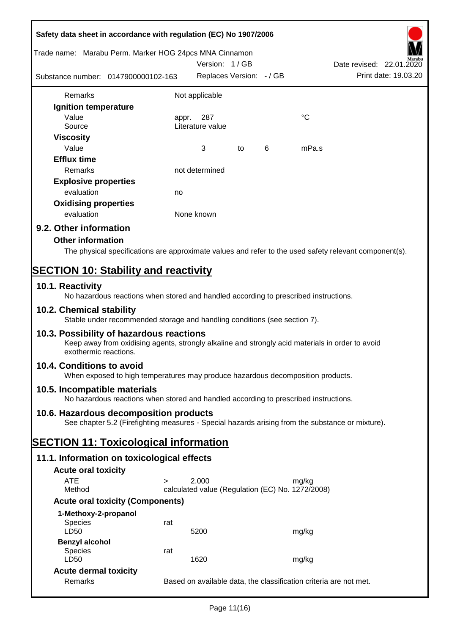| Safety data sheet in accordance with regulation (EC) No 1907/2006 |                                                                                                  |       |                                                  |    |   |             |                                                                                                        |
|-------------------------------------------------------------------|--------------------------------------------------------------------------------------------------|-------|--------------------------------------------------|----|---|-------------|--------------------------------------------------------------------------------------------------------|
| Trade name: Marabu Perm. Marker HOG 24pcs MNA Cinnamon            |                                                                                                  |       | Version: 1/GB                                    |    |   |             | Date revised: 22.01.2020                                                                               |
| Substance number: 0147900000102-163                               |                                                                                                  |       | Replaces Version: - / GB                         |    |   |             | Print date: 19.03.20                                                                                   |
| Remarks                                                           |                                                                                                  |       | Not applicable                                   |    |   |             |                                                                                                        |
| Ignition temperature                                              |                                                                                                  |       |                                                  |    |   |             |                                                                                                        |
| Value<br>Source                                                   |                                                                                                  | appr. | 287<br>Literature value                          |    |   | $^{\circ}C$ |                                                                                                        |
| <b>Viscosity</b><br>Value                                         |                                                                                                  |       | 3                                                | to | 6 | mPa.s       |                                                                                                        |
| <b>Efflux time</b><br>Remarks                                     |                                                                                                  |       | not determined                                   |    |   |             |                                                                                                        |
|                                                                   |                                                                                                  |       |                                                  |    |   |             |                                                                                                        |
| <b>Explosive properties</b><br>evaluation                         |                                                                                                  |       |                                                  |    |   |             |                                                                                                        |
| <b>Oxidising properties</b>                                       |                                                                                                  | no    |                                                  |    |   |             |                                                                                                        |
| evaluation                                                        |                                                                                                  |       | None known                                       |    |   |             |                                                                                                        |
| 9.2. Other information                                            |                                                                                                  |       |                                                  |    |   |             |                                                                                                        |
| <b>Other information</b>                                          |                                                                                                  |       |                                                  |    |   |             |                                                                                                        |
|                                                                   |                                                                                                  |       |                                                  |    |   |             | The physical specifications are approximate values and refer to the used safety relevant component(s). |
|                                                                   |                                                                                                  |       |                                                  |    |   |             |                                                                                                        |
| <b>SECTION 10: Stability and reactivity</b><br>10.1. Reactivity   |                                                                                                  |       |                                                  |    |   |             |                                                                                                        |
|                                                                   | No hazardous reactions when stored and handled according to prescribed instructions.             |       |                                                  |    |   |             |                                                                                                        |
| 10.2. Chemical stability                                          | Stable under recommended storage and handling conditions (see section 7).                        |       |                                                  |    |   |             |                                                                                                        |
| 10.3. Possibility of hazardous reactions<br>exothermic reactions. | Keep away from oxidising agents, strongly alkaline and strongly acid materials in order to avoid |       |                                                  |    |   |             |                                                                                                        |
| 10.4. Conditions to avoid                                         | When exposed to high temperatures may produce hazardous decomposition products.                  |       |                                                  |    |   |             |                                                                                                        |
| 10.5. Incompatible materials                                      | No hazardous reactions when stored and handled according to prescribed instructions.             |       |                                                  |    |   |             |                                                                                                        |
| 10.6. Hazardous decomposition products                            | See chapter 5.2 (Firefighting measures - Special hazards arising from the substance or mixture). |       |                                                  |    |   |             |                                                                                                        |
| <b>SECTION 11: Toxicological information</b>                      |                                                                                                  |       |                                                  |    |   |             |                                                                                                        |
| 11.1. Information on toxicological effects                        |                                                                                                  |       |                                                  |    |   |             |                                                                                                        |
|                                                                   |                                                                                                  |       |                                                  |    |   |             |                                                                                                        |
| <b>Acute oral toxicity</b><br><b>ATE</b>                          | $\geq$                                                                                           |       | 2.000                                            |    |   | mg/kg       |                                                                                                        |
| Method                                                            |                                                                                                  |       | calculated value (Regulation (EC) No. 1272/2008) |    |   |             |                                                                                                        |
|                                                                   | <b>Acute oral toxicity (Components)</b>                                                          |       |                                                  |    |   |             |                                                                                                        |
| 1-Methoxy-2-propanol                                              |                                                                                                  |       |                                                  |    |   |             |                                                                                                        |
| <b>Species</b><br>LD50                                            | rat                                                                                              |       | 5200                                             |    |   | mg/kg       |                                                                                                        |
| <b>Benzyl alcohol</b>                                             |                                                                                                  |       |                                                  |    |   |             |                                                                                                        |
| <b>Species</b><br>LD50                                            | rat                                                                                              |       | 1620                                             |    |   | mg/kg       |                                                                                                        |
| <b>Acute dermal toxicity</b>                                      |                                                                                                  |       |                                                  |    |   |             |                                                                                                        |
| Remarks                                                           |                                                                                                  |       |                                                  |    |   |             | Based on available data, the classification criteria are not met.                                      |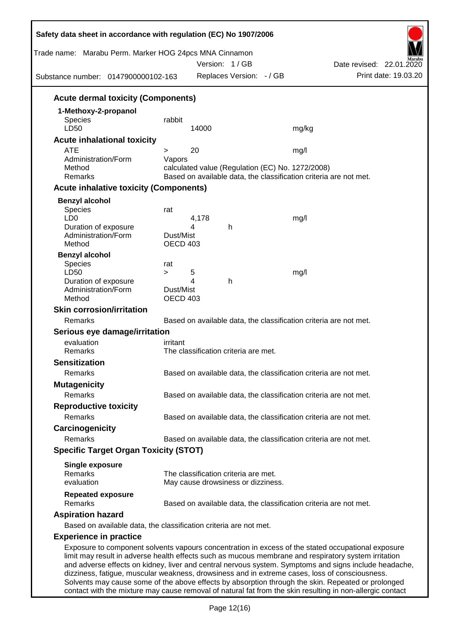| Trade name: Marabu Perm. Marker HOG 24pcs MNA Cinnamon<br>Substance number: 0147900000102-163 | Date revised: 22.01.2020<br>Print date: 19.03.20                                                                                                                                                              |
|-----------------------------------------------------------------------------------------------|---------------------------------------------------------------------------------------------------------------------------------------------------------------------------------------------------------------|
| <b>Acute dermal toxicity (Components)</b>                                                     |                                                                                                                                                                                                               |
|                                                                                               |                                                                                                                                                                                                               |
| rabbit                                                                                        |                                                                                                                                                                                                               |
|                                                                                               | mg/kg                                                                                                                                                                                                         |
|                                                                                               |                                                                                                                                                                                                               |
| >                                                                                             | mg/l                                                                                                                                                                                                          |
| Vapors                                                                                        |                                                                                                                                                                                                               |
|                                                                                               | calculated value (Regulation (EC) No. 1272/2008)<br>Based on available data, the classification criteria are not met.                                                                                         |
|                                                                                               |                                                                                                                                                                                                               |
| <b>Acute inhalative toxicity (Components)</b>                                                 |                                                                                                                                                                                                               |
|                                                                                               |                                                                                                                                                                                                               |
| rat                                                                                           |                                                                                                                                                                                                               |
|                                                                                               | mg/l                                                                                                                                                                                                          |
| Dust/Mist                                                                                     |                                                                                                                                                                                                               |
| OECD 403                                                                                      |                                                                                                                                                                                                               |
|                                                                                               |                                                                                                                                                                                                               |
| rat                                                                                           |                                                                                                                                                                                                               |
| $\geq$                                                                                        | mg/l                                                                                                                                                                                                          |
|                                                                                               |                                                                                                                                                                                                               |
| Dust/Mist<br>OECD 403                                                                         |                                                                                                                                                                                                               |
|                                                                                               |                                                                                                                                                                                                               |
|                                                                                               | Based on available data, the classification criteria are not met.                                                                                                                                             |
| Serious eye damage/irritation                                                                 |                                                                                                                                                                                                               |
| irritant                                                                                      |                                                                                                                                                                                                               |
| The classification criteria are met.                                                          |                                                                                                                                                                                                               |
|                                                                                               |                                                                                                                                                                                                               |
|                                                                                               | Based on available data, the classification criteria are not met.                                                                                                                                             |
|                                                                                               |                                                                                                                                                                                                               |
|                                                                                               |                                                                                                                                                                                                               |
|                                                                                               | Based on available data, the classification criteria are not met.                                                                                                                                             |
|                                                                                               |                                                                                                                                                                                                               |
|                                                                                               | Based on available data, the classification criteria are not met.                                                                                                                                             |
|                                                                                               |                                                                                                                                                                                                               |
|                                                                                               | Based on available data, the classification criteria are not met.                                                                                                                                             |
| <b>Specific Target Organ Toxicity (STOT)</b>                                                  |                                                                                                                                                                                                               |
|                                                                                               |                                                                                                                                                                                                               |
| The classification criteria are met.                                                          |                                                                                                                                                                                                               |
| May cause drowsiness or dizziness.                                                            |                                                                                                                                                                                                               |
|                                                                                               | Based on available data, the classification criteria are not met.                                                                                                                                             |
|                                                                                               |                                                                                                                                                                                                               |
|                                                                                               |                                                                                                                                                                                                               |
|                                                                                               |                                                                                                                                                                                                               |
|                                                                                               | Exposure to component solvents vapours concentration in excess of the stated occupational exposure                                                                                                            |
| Based on available data, the classification criteria are not met.                             | limit may result in adverse health effects such as mucous membrane and respiratory system irritation<br>and adverse effects on kidney, liver and central nervous system. Symptoms and signs include headache, |

dizziness, fatigue, muscular weakness, drowsiness and in extreme cases, loss of consciousness. Solvents may cause some of the above effects by absorption through the skin. Repeated or prolonged contact with the mixture may cause removal of natural fat from the skin resulting in non-allergic contact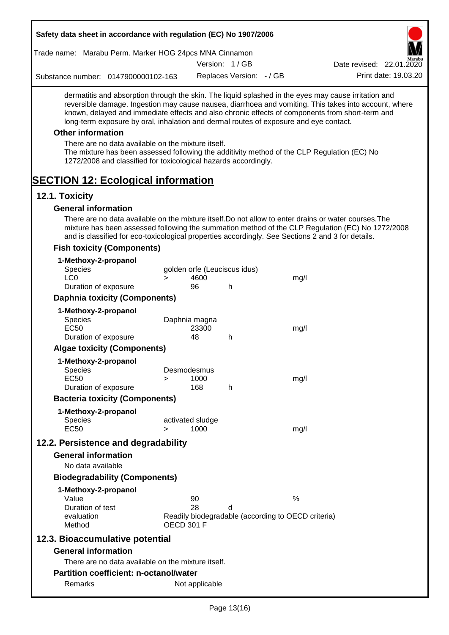| Safety data sheet in accordance with regulation (EC) No 1907/2006                                                                                                                                                                                                                                              |                                                                         |                              |                              |      |                                                                                                       |
|----------------------------------------------------------------------------------------------------------------------------------------------------------------------------------------------------------------------------------------------------------------------------------------------------------------|-------------------------------------------------------------------------|------------------------------|------------------------------|------|-------------------------------------------------------------------------------------------------------|
| Trade name: Marabu Perm. Marker HOG 24pcs MNA Cinnamon                                                                                                                                                                                                                                                         |                                                                         |                              |                              |      |                                                                                                       |
|                                                                                                                                                                                                                                                                                                                |                                                                         |                              | Version: 1/GB                |      | Date revised: 22.01.2020                                                                              |
| Substance number: 0147900000102-163                                                                                                                                                                                                                                                                            |                                                                         |                              | Replaces Version: - / GB     |      | Print date: 19.03.20                                                                                  |
| dermatitis and absorption through the skin. The liquid splashed in the eyes may cause irritation and<br>known, delayed and immediate effects and also chronic effects of components from short-term and<br>long-term exposure by oral, inhalation and dermal routes of exposure and eye contact.               |                                                                         |                              |                              |      | reversible damage. Ingestion may cause nausea, diarrhoea and vomiting. This takes into account, where |
| <b>Other information</b>                                                                                                                                                                                                                                                                                       |                                                                         |                              |                              |      |                                                                                                       |
| There are no data available on the mixture itself.<br>The mixture has been assessed following the additivity method of the CLP Regulation (EC) No<br>1272/2008 and classified for toxicological hazards accordingly.                                                                                           |                                                                         |                              |                              |      |                                                                                                       |
| <b>SECTION 12: Ecological information</b><br>12.1. Toxicity                                                                                                                                                                                                                                                    |                                                                         |                              |                              |      |                                                                                                       |
| <b>General information</b>                                                                                                                                                                                                                                                                                     |                                                                         |                              |                              |      |                                                                                                       |
| There are no data available on the mixture itself. Do not allow to enter drains or water courses. The<br>mixture has been assessed following the summation method of the CLP Regulation (EC) No 1272/2008<br>and is classified for eco-toxicological properties accordingly. See Sections 2 and 3 for details. |                                                                         |                              |                              |      |                                                                                                       |
| <b>Fish toxicity (Components)</b>                                                                                                                                                                                                                                                                              |                                                                         |                              |                              |      |                                                                                                       |
| 1-Methoxy-2-propanol                                                                                                                                                                                                                                                                                           |                                                                         |                              |                              |      |                                                                                                       |
| <b>Species</b>                                                                                                                                                                                                                                                                                                 |                                                                         |                              | golden orfe (Leuciscus idus) |      |                                                                                                       |
| LC <sub>0</sub><br>Duration of exposure                                                                                                                                                                                                                                                                        | $\geq$                                                                  | 4600<br>96                   | h                            | mg/l |                                                                                                       |
| <b>Daphnia toxicity (Components)</b>                                                                                                                                                                                                                                                                           |                                                                         |                              |                              |      |                                                                                                       |
|                                                                                                                                                                                                                                                                                                                |                                                                         |                              |                              |      |                                                                                                       |
| 1-Methoxy-2-propanol<br><b>Species</b><br><b>EC50</b><br>Duration of exposure                                                                                                                                                                                                                                  |                                                                         | Daphnia magna<br>23300<br>48 | h                            | mg/l |                                                                                                       |
| <b>Algae toxicity (Components)</b>                                                                                                                                                                                                                                                                             |                                                                         |                              |                              |      |                                                                                                       |
|                                                                                                                                                                                                                                                                                                                |                                                                         |                              |                              |      |                                                                                                       |
| 1-Methoxy-2-propanol<br><b>Species</b>                                                                                                                                                                                                                                                                         |                                                                         | Desmodesmus                  |                              |      |                                                                                                       |
| <b>EC50</b>                                                                                                                                                                                                                                                                                                    | >                                                                       | 1000                         |                              | mg/l |                                                                                                       |
| Duration of exposure                                                                                                                                                                                                                                                                                           |                                                                         | 168                          | h                            |      |                                                                                                       |
| <b>Bacteria toxicity (Components)</b>                                                                                                                                                                                                                                                                          |                                                                         |                              |                              |      |                                                                                                       |
| 1-Methoxy-2-propanol                                                                                                                                                                                                                                                                                           |                                                                         |                              |                              |      |                                                                                                       |
| <b>Species</b><br><b>EC50</b>                                                                                                                                                                                                                                                                                  |                                                                         | activated sludge<br>1000     |                              |      |                                                                                                       |
|                                                                                                                                                                                                                                                                                                                | $\geq$                                                                  |                              |                              | mg/l |                                                                                                       |
| 12.2. Persistence and degradability                                                                                                                                                                                                                                                                            |                                                                         |                              |                              |      |                                                                                                       |
| <b>General information</b>                                                                                                                                                                                                                                                                                     |                                                                         |                              |                              |      |                                                                                                       |
| No data available                                                                                                                                                                                                                                                                                              |                                                                         |                              |                              |      |                                                                                                       |
| <b>Biodegradability (Components)</b>                                                                                                                                                                                                                                                                           |                                                                         |                              |                              |      |                                                                                                       |
| 1-Methoxy-2-propanol<br>Value                                                                                                                                                                                                                                                                                  |                                                                         | 90                           |                              | $\%$ |                                                                                                       |
| Duration of test                                                                                                                                                                                                                                                                                               |                                                                         | 28                           | d                            |      |                                                                                                       |
| evaluation<br>Method                                                                                                                                                                                                                                                                                           | Readily biodegradable (according to OECD criteria)<br><b>OECD 301 F</b> |                              |                              |      |                                                                                                       |
| 12.3. Bioaccumulative potential                                                                                                                                                                                                                                                                                |                                                                         |                              |                              |      |                                                                                                       |
| <b>General information</b>                                                                                                                                                                                                                                                                                     |                                                                         |                              |                              |      |                                                                                                       |
| There are no data available on the mixture itself.                                                                                                                                                                                                                                                             |                                                                         |                              |                              |      |                                                                                                       |
| <b>Partition coefficient: n-octanol/water</b>                                                                                                                                                                                                                                                                  |                                                                         |                              |                              |      |                                                                                                       |
| Remarks                                                                                                                                                                                                                                                                                                        |                                                                         | Not applicable               |                              |      |                                                                                                       |
|                                                                                                                                                                                                                                                                                                                |                                                                         |                              |                              |      |                                                                                                       |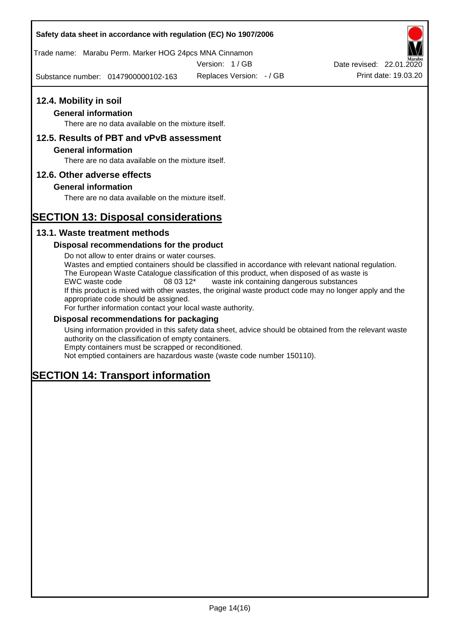Trade name: Marabu Perm. Marker HOG 24pcs MNA Cinnamon

Version: 1 / GB

Substance number: 0147900000102-163

## **12.4. Mobility in soil**

## **General information**

There are no data available on the mixture itself.

## **12.5. Results of PBT and vPvB assessment**

### **General information**

There are no data available on the mixture itself.

## **12.6. Other adverse effects**

## **General information**

There are no data available on the mixture itself.

# **SECTION 13: Disposal considerations**

## **13.1. Waste treatment methods**

### **Disposal recommendations for the product**

Do not allow to enter drains or water courses. Wastes and emptied containers should be classified in accordance with relevant national regulation. The European Waste Catalogue classification of this product, when disposed of as waste is EWC waste code 08 03 12\* waste ink containing dangerous substances If this product is mixed with other wastes, the original waste product code may no longer apply and the appropriate code should be assigned. For further information contact your local waste authority.

### **Disposal recommendations for packaging**

Using information provided in this safety data sheet, advice should be obtained from the relevant waste authority on the classification of empty containers. Empty containers must be scrapped or reconditioned.

Not emptied containers are hazardous waste (waste code number 150110).

# **SECTION 14: Transport information**



Replaces Version:  $-$  / GB Print date: 19.03.20 Date revised: 22.01.2020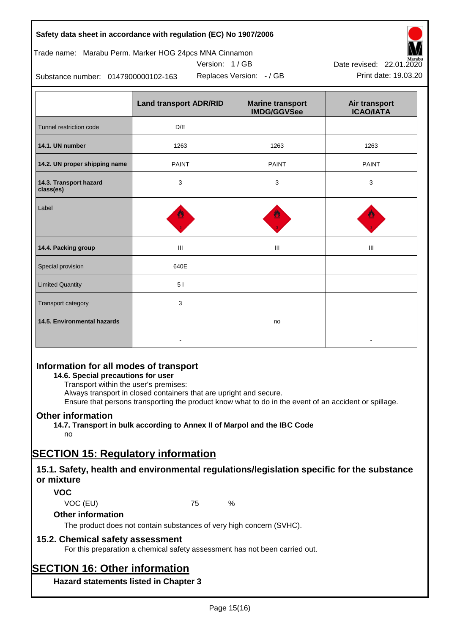## Trade name: Marabu Perm. Marker HOG 24pcs MNA Cinnamon





Replaces Version:  $-$  / GB Print date: 19.03.20 Date revised: 22.01.2020

Substance number: 0147900000102-163

|                                     | <b>Land transport ADR/RID</b> | <b>Marine transport</b><br><b>IMDG/GGVSee</b> | Air transport<br><b>ICAO/IATA</b> |
|-------------------------------------|-------------------------------|-----------------------------------------------|-----------------------------------|
| Tunnel restriction code             | D/E                           |                                               |                                   |
| 14.1. UN number                     | 1263                          | 1263                                          | 1263                              |
| 14.2. UN proper shipping name       | <b>PAINT</b>                  | <b>PAINT</b>                                  | <b>PAINT</b>                      |
| 14.3. Transport hazard<br>class(es) | 3                             | 3                                             | 3                                 |
| Label                               |                               |                                               |                                   |
| 14.4. Packing group                 | Ш                             | Ш                                             | Ш                                 |
| Special provision                   | 640E                          |                                               |                                   |
| <b>Limited Quantity</b>             | 51                            |                                               |                                   |
| Transport category                  | 3                             |                                               |                                   |
| 14.5. Environmental hazards         |                               | no                                            |                                   |

# **Information for all modes of transport**

## **14.6. Special precautions for user**

Transport within the user's premises:

Always transport in closed containers that are upright and secure.

Ensure that persons transporting the product know what to do in the event of an accident or spillage.

## **Other information**

**14.7. Transport in bulk according to Annex II of Marpol and the IBC Code**

# no

# **SECTION 15: Regulatory information**

## **15.1. Safety, health and environmental regulations/legislation specific for the substance or mixture**

## **VOC**

VOC (EU) 75 %

## **Other information**

The product does not contain substances of very high concern (SVHC).

## **15.2. Chemical safety assessment**

For this preparation a chemical safety assessment has not been carried out.

# **SECTION 16: Other information**

**Hazard statements listed in Chapter 3**